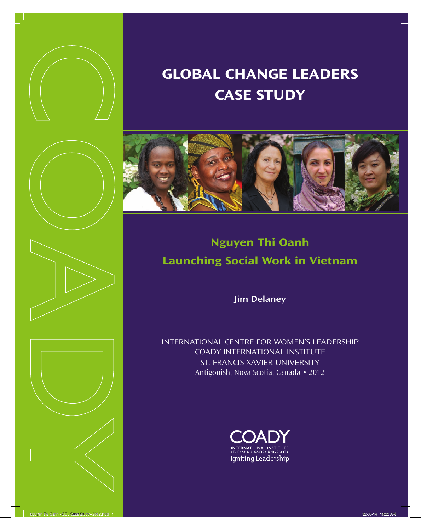







# **Global ChanGe leaders Case study**



## **Nguyen Thi Oanh launching social Work in Vietnam**

**Jim Delaney**

InternatIonal centre for women's leadershIp coady InternatIonal InstItute st. francIs XavIer unIversIty Antigonish, Nova Scotia, Canada • 2012

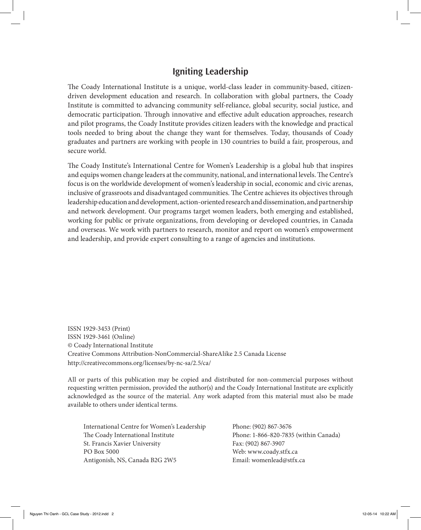#### **Igniting Leadership**

The Coady International Institute is a unique, world-class leader in community-based, citizendriven development education and research. In collaboration with global partners, the Coady Institute is committed to advancing community self-reliance, global security, social justice, and democratic participation. Through innovative and effective adult education approaches, research and pilot programs, the Coady Institute provides citizen leaders with the knowledge and practical tools needed to bring about the change they want for themselves. Today, thousands of Coady graduates and partners are working with people in 130 countries to build a fair, prosperous, and secure world.

The Coady Institute's International Centre for Women's Leadership is a global hub that inspires and equips women change leaders at the community, national, and international levels. The Centre's focus is on the worldwide development of women's leadership in social, economic and civic arenas, inclusive of grassroots and disadvantaged communities. The Centre achieves its objectives through leadership education and development, action-oriented research and dissemination, and partnership and network development. Our programs target women leaders, both emerging and established, working for public or private organizations, from developing or developed countries, in Canada and overseas. We work with partners to research, monitor and report on women's empowerment and leadership, and provide expert consulting to a range of agencies and institutions.

ISSN 1929-3453 (Print) ISSN 1929-3461 (Online) © Coady International Institute Creative Commons Attribution-NonCommercial-ShareAlike 2.5 Canada License http://creativecommons.org/licenses/by-nc-sa/2.5/ca/

All or parts of this publication may be copied and distributed for non-commercial purposes without requesting written permission, provided the author(s) and the Coady International Institute are explicitly acknowledged as the source of the material. Any work adapted from this material must also be made available to others under identical terms.

International Centre for Women's Leadership Phone: (902) 867-3676 The Coady International Institute Phone: 1-866-820-7835 (within Canada) St. Francis Xavier University Fax: (902) 867-3907 PO Box 5000 Web: www.coady.stfx.ca Antigonish, NS, Canada B2G 2W5 Email: womenlead@stfx.ca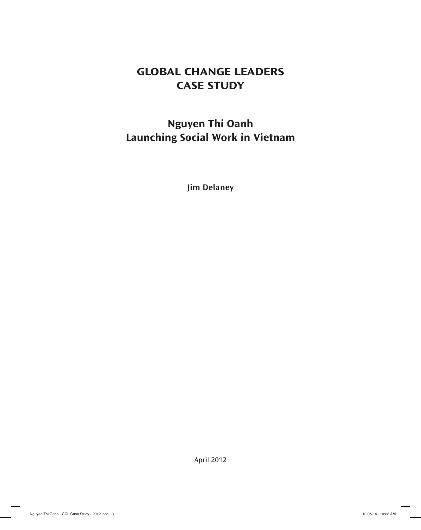## **Global ChanGe leaders Case study**

## **Nguyen Thi Oanh Launching Social Work in Vietnam**

**Jim Delaney**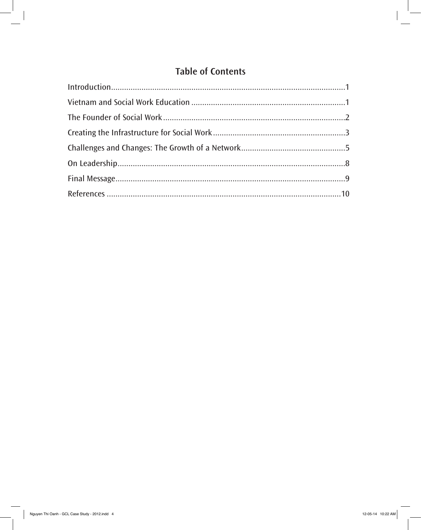## **Table of Contents**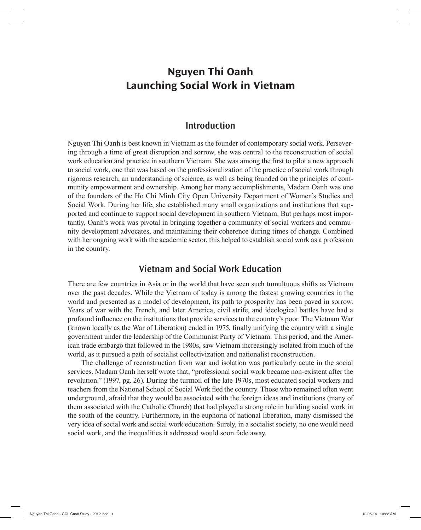### **Nguyen Thi Oanh Launching Social Work in Vietnam**

#### **Introduction**

Nguyen Thi Oanh is best known in Vietnam as the founder of contemporary social work. Persevering through a time of great disruption and sorrow, she was central to the reconstruction of social work education and practice in southern Vietnam. She was among the first to pilot a new approach to social work, one that was based on the professionalization of the practice of social work through rigorous research, an understanding of science, as well as being founded on the principles of community empowerment and ownership. Among her many accomplishments, Madam Oanh was one of the founders of the Ho Chi Minh City Open University Department of Women's Studies and Social Work. During her life, she established many small organizations and institutions that supported and continue to support social development in southern Vietnam. But perhaps most importantly, Oanh's work was pivotal in bringing together a community of social workers and community development advocates, and maintaining their coherence during times of change. Combined with her ongoing work with the academic sector, this helped to establish social work as a profession in the country.

#### **Vietnam and Social Work Education**

There are few countries in Asia or in the world that have seen such tumultuous shifts as Vietnam over the past decades. While the Vietnam of today is among the fastest growing countries in the world and presented as a model of development, its path to prosperity has been paved in sorrow. Years of war with the French, and later America, civil strife, and ideological battles have had a profound influence on the institutions that provide services to the country's poor. The Vietnam War (known locally as the War of Liberation) ended in 1975, finally unifying the country with a single government under the leadership of the Communist Party of Vietnam. This period, and the American trade embargo that followed in the 1980s, saw Vietnam increasingly isolated from much of the world, as it pursued a path of socialist collectivization and nationalist reconstruction.

The challenge of reconstruction from war and isolation was particularly acute in the social services. Madam Oanh herself wrote that, "professional social work became non-existent after the revolution." (1997, pg. 26). During the turmoil of the late 1970s, most educated social workers and teachers from the National School of Social Work fled the country. Those who remained often went underground, afraid that they would be associated with the foreign ideas and institutions (many of them associated with the Catholic Church) that had played a strong role in building social work in the south of the country. Furthermore, in the euphoria of national liberation, many dismissed the very idea of social work and social work education. Surely, in a socialist society, no one would need social work, and the inequalities it addressed would soon fade away.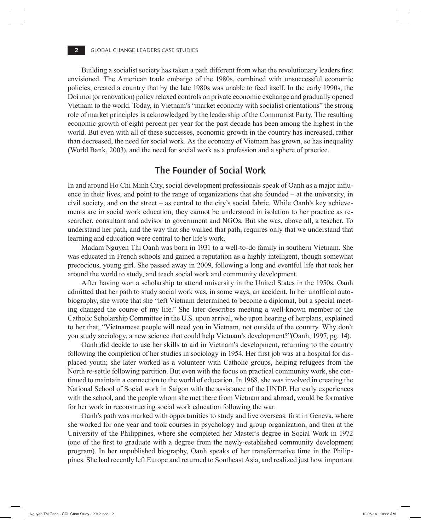Building a socialist society has taken a path different from what the revolutionary leaders first envisioned. The American trade embargo of the 1980s, combined with unsuccessful economic policies, created a country that by the late 1980s was unable to feed itself. In the early 1990s, the Doi moi (or renovation) policy relaxed controls on private economic exchange and gradually opened Vietnam to the world. Today, in Vietnam's "market economy with socialist orientations" the strong role of market principles is acknowledged by the leadership of the Communist Party. The resulting economic growth of eight percent per year for the past decade has been among the highest in the world. But even with all of these successes, economic growth in the country has increased, rather than decreased, the need for social work. As the economy of Vietnam has grown, so has inequality (World Bank, 2003), and the need for social work as a profession and a sphere of practice.

#### **The Founder of Social Work**

In and around Ho Chi Minh City, social development professionals speak of Oanh as a major influence in their lives, and point to the range of organizations that she founded – at the university, in civil society, and on the street – as central to the city's social fabric. While Oanh's key achievements are in social work education, they cannot be understood in isolation to her practice as researcher, consultant and advisor to government and NGOs. But she was, above all, a teacher. To understand her path, and the way that she walked that path, requires only that we understand that learning and education were central to her life's work.

Madam Nguyen Thi Oanh was born in 1931 to a well-to-do family in southern Vietnam. She was educated in French schools and gained a reputation as a highly intelligent, though somewhat precocious, young girl. She passed away in 2009, following a long and eventful life that took her around the world to study, and teach social work and community development.

After having won a scholarship to attend university in the United States in the 1950s, Oanh admitted that her path to study social work was, in some ways, an accident. In her unofficial autobiography, she wrote that she "left Vietnam determined to become a diplomat, but a special meeting changed the course of my life." She later describes meeting a well-known member of the Catholic Scholarship Committee in the U.S. upon arrival, who upon hearing of her plans, explained to her that, "Vietnamese people will need you in Vietnam, not outside of the country. Why don't you study sociology, a new science that could help Vietnam's development?"(Oanh, 1997, pg. 14).

Oanh did decide to use her skills to aid in Vietnam's development, returning to the country following the completion of her studies in sociology in 1954. Her first job was at a hospital for displaced youth; she later worked as a volunteer with Catholic groups, helping refugees from the North re-settle following partition. But even with the focus on practical community work, she continued to maintain a connection to the world of education. In 1968, she was involved in creating the National School of Social work in Saigon with the assistance of the UNDP. Her early experiences with the school, and the people whom she met there from Vietnam and abroad, would be formative for her work in reconstructing social work education following the war.

Oanh's path was marked with opportunities to study and live overseas: first in Geneva, where she worked for one year and took courses in psychology and group organization, and then at the University of the Philippines, where she completed her Master's degree in Social Work in 1972 (one of the first to graduate with a degree from the newly-established community development program). In her unpublished biography, Oanh speaks of her transformative time in the Philippines. She had recently left Europe and returned to Southeast Asia, and realized just how important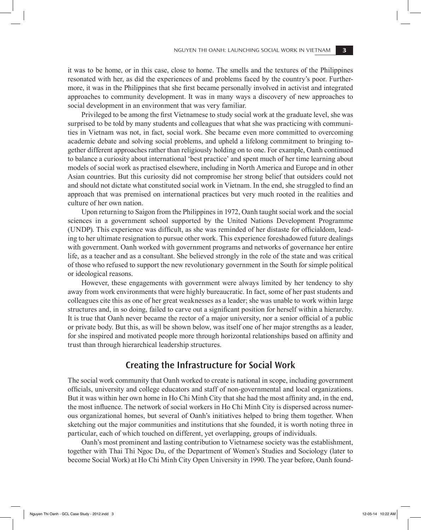it was to be home, or in this case, close to home. The smells and the textures of the Philippines resonated with her, as did the experiences of and problems faced by the country's poor. Furthermore, it was in the Philippines that she first became personally involved in activist and integrated approaches to community development. It was in many ways a discovery of new approaches to social development in an environment that was very familiar.

Privileged to be among the first Vietnamese to study social work at the graduate level, she was surprised to be told by many students and colleagues that what she was practicing with communities in Vietnam was not, in fact, social work. She became even more committed to overcoming academic debate and solving social problems, and upheld a lifelong commitment to bringing together different approaches rather than religiously holding on to one. For example, Oanh continued to balance a curiosity about international 'best practice' and spent much of her time learning about models of social work as practised elsewhere, including in North America and Europe and in other Asian countries. But this curiosity did not compromise her strong belief that outsiders could not and should not dictate what constituted social work in Vietnam. In the end, she struggled to find an approach that was premised on international practices but very much rooted in the realities and culture of her own nation.

Upon returning to Saigon from the Philippines in 1972, Oanh taught social work and the social sciences in a government school supported by the United Nations Development Programme (UNDP). This experience was difficult, as she was reminded of her distaste for officialdom, leading to her ultimate resignation to pursue other work. This experience foreshadowed future dealings with government. Oanh worked with government programs and networks of governance her entire life, as a teacher and as a consultant. She believed strongly in the role of the state and was critical of those who refused to support the new revolutionary government in the South for simple political or ideological reasons.

However, these engagements with government were always limited by her tendency to shy away from work environments that were highly bureaucratic. In fact, some of her past students and colleagues cite this as one of her great weaknesses as a leader; she was unable to work within large structures and, in so doing, failed to carve out a significant position for herself within a hierarchy. It is true that Oanh never became the rector of a major university, nor a senior official of a public or private body. But this, as will be shown below, was itself one of her major strengths as a leader, for she inspired and motivated people more through horizontal relationships based on affinity and trust than through hierarchical leadership structures.

#### **Creating the Infrastructure for Social Work**

The social work community that Oanh worked to create is national in scope, including government officials, university and college educators and staff of non-governmental and local organizations. But it was within her own home in Ho Chi Minh City that she had the most affinity and, in the end, the most influence. The network of social workers in Ho Chi Minh City is dispersed across numerous organizational homes, but several of Oanh's initiatives helped to bring them together. When sketching out the major communities and institutions that she founded, it is worth noting three in particular, each of which touched on different, yet overlapping, groups of individuals.

Oanh's most prominent and lasting contribution to Vietnamese society was the establishment, together with Thai Thi Ngoc Du, of the Department of Women's Studies and Sociology (later to become Social Work) at Ho Chi Minh City Open University in 1990. The year before, Oanh found-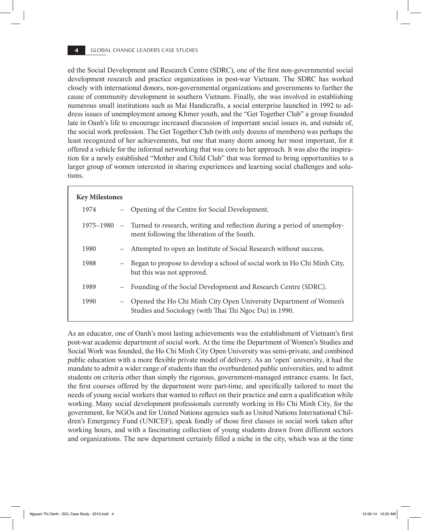ed the Social Development and Research Centre (SDRC), one of the first non-governmental social development research and practice organizations in post-war Vietnam. The SDRC has worked closely with international donors, non-governmental organizations and governments to further the cause of community development in southern Vietnam. Finally, she was involved in establishing numerous small institutions such as Mai Handicrafts, a social enterprise launched in 1992 to address issues of unemployment among Khmer youth, and the "Get Together Club" a group founded late in Oanh's life to encourage increased discussion of important social issues in, and outside of, the social work profession. The Get Together Club (with only dozens of members) was perhaps the least recognized of her achievements, but one that many deem among her most important, for it offered a vehicle for the informal networking that was core to her approach. It was also the inspiration for a newly established "Mother and Child Club" that was formed to bring opportunities to a larger group of women interested in sharing experiences and learning social challenges and solutions.

| <b>Key Milestones</b> |                   |                                                                                                                                    |  |
|-----------------------|-------------------|------------------------------------------------------------------------------------------------------------------------------------|--|
| 1974                  |                   | - Opening of the Centre for Social Development.                                                                                    |  |
|                       |                   | 1975–1980 – Turned to research, writing and reflection during a period of unemploy-<br>ment following the liberation of the South. |  |
| 1980                  |                   | - Attempted to open an Institute of Social Research without success.                                                               |  |
| 1988                  | $-$               | Began to propose to develop a school of social work in Ho Chi Minh City,<br>but this was not approved.                             |  |
| 1989                  | $\qquad \qquad -$ | Founding of the Social Development and Research Centre (SDRC).                                                                     |  |
| 1990                  | $\qquad \qquad -$ | Opened the Ho Chi Minh City Open University Department of Women's<br>Studies and Sociology (with Thai Thi Ngoc Du) in 1990.        |  |

As an educator, one of Oanh's most lasting achievements was the establishment of Vietnam's first post-war academic department of social work. At the time the Department of Women's Studies and Social Work was founded, the Ho Chi Minh City Open University was semi-private, and combined public education with a more flexible private model of delivery. As an 'open' university, it had the mandate to admit a wider range of students than the overburdened public universities, and to admit students on criteria other than simply the rigorous, government-managed entrance exams. In fact, the first courses offered by the department were part-time, and specifically tailored to meet the needs of young social workers that wanted to reflect on their practice and earn a qualification while working. Many social development professionals currently working in Ho Chi Minh City, for the government, for NGOs and for United Nations agencies such as United Nations International Children's Emergency Fund (UNICEF), speak fondly of those first classes in social work taken after working hours, and with a fascinating collection of young students drawn from different sectors and organizations. The new department certainly filled a niche in the city, which was at the time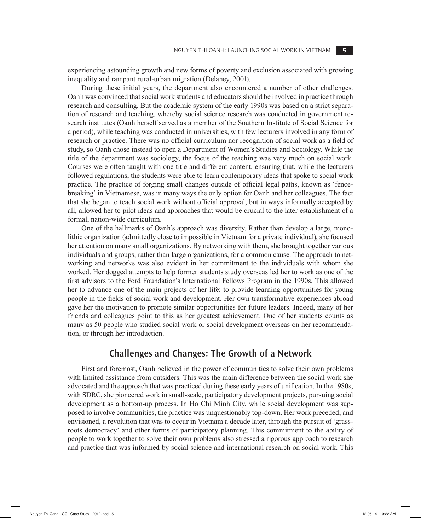experiencing astounding growth and new forms of poverty and exclusion associated with growing inequality and rampant rural-urban migration (Delaney, 2001).

During these initial years, the department also encountered a number of other challenges. Oanh was convinced that social work students and educators should be involved in practice through research and consulting. But the academic system of the early 1990s was based on a strict separation of research and teaching, whereby social science research was conducted in government research institutes (Oanh herself served as a member of the Southern Institute of Social Science for a period), while teaching was conducted in universities, with few lecturers involved in any form of research or practice. There was no official curriculum nor recognition of social work as a field of study, so Oanh chose instead to open a Department of Women's Studies and Sociology. While the title of the department was sociology, the focus of the teaching was very much on social work. Courses were often taught with one title and different content, ensuring that, while the lecturers followed regulations, the students were able to learn contemporary ideas that spoke to social work practice. The practice of forging small changes outside of official legal paths, known as 'fencebreaking' in Vietnamese, was in many ways the only option for Oanh and her colleagues. The fact that she began to teach social work without official approval, but in ways informally accepted by all, allowed her to pilot ideas and approaches that would be crucial to the later establishment of a formal, nation-wide curriculum.

One of the hallmarks of Oanh's approach was diversity. Rather than develop a large, monolithic organization (admittedly close to impossible in Vietnam for a private individual), she focused her attention on many small organizations. By networking with them, she brought together various individuals and groups, rather than large organizations, for a common cause. The approach to networking and networks was also evident in her commitment to the individuals with whom she worked. Her dogged attempts to help former students study overseas led her to work as one of the first advisors to the Ford Foundation's International Fellows Program in the 1990s. This allowed her to advance one of the main projects of her life: to provide learning opportunities for young people in the fields of social work and development. Her own transformative experiences abroad gave her the motivation to promote similar opportunities for future leaders. Indeed, many of her friends and colleagues point to this as her greatest achievement. One of her students counts as many as 50 people who studied social work or social development overseas on her recommendation, or through her introduction.

#### **Challenges and Changes: The Growth of a Network**

First and foremost, Oanh believed in the power of communities to solve their own problems with limited assistance from outsiders. This was the main difference between the social work she advocated and the approach that was practiced during these early years of unification. In the 1980s, with SDRC, she pioneered work in small-scale, participatory development projects, pursuing social development as a bottom-up process. In Ho Chi Minh City, while social development was supposed to involve communities, the practice was unquestionably top-down. Her work preceded, and envisioned, a revolution that was to occur in Vietnam a decade later, through the pursuit of 'grassroots democracy' and other forms of participatory planning. This commitment to the ability of people to work together to solve their own problems also stressed a rigorous approach to research and practice that was informed by social science and international research on social work. This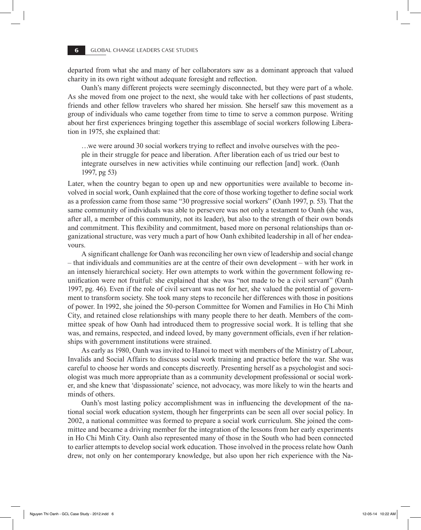departed from what she and many of her collaborators saw as a dominant approach that valued charity in its own right without adequate foresight and reflection.

Oanh's many different projects were seemingly disconnected, but they were part of a whole. As she moved from one project to the next, she would take with her collections of past students, friends and other fellow travelers who shared her mission. She herself saw this movement as a group of individuals who came together from time to time to serve a common purpose. Writing about her first experiences bringing together this assemblage of social workers following Liberation in 1975, she explained that:

…we were around 30 social workers trying to reflect and involve ourselves with the people in their struggle for peace and liberation. After liberation each of us tried our best to integrate ourselves in new activities while continuing our reflection [and] work. (Oanh 1997, pg 53)

Later, when the country began to open up and new opportunities were available to become involved in social work, Oanh explained that the core of those working together to define social work as a profession came from those same "30 progressive social workers" (Oanh 1997, p. 53). That the same community of individuals was able to persevere was not only a testament to Oanh (she was, after all, a member of this community, not its leader), but also to the strength of their own bonds and commitment. This flexibility and commitment, based more on personal relationships than organizational structure, was very much a part of how Oanh exhibited leadership in all of her endeavours.

A significant challenge for Oanh was reconciling her own view of leadership and social change – that individuals and communities are at the centre of their own development – with her work in an intensely hierarchical society. Her own attempts to work within the government following reunification were not fruitful: she explained that she was "not made to be a civil servant" (Oanh 1997, pg. 46). Even if the role of civil servant was not for her, she valued the potential of government to transform society. She took many steps to reconcile her differences with those in positions of power. In 1992, she joined the 50-person Committee for Women and Families in Ho Chi Minh City, and retained close relationships with many people there to her death. Members of the committee speak of how Oanh had introduced them to progressive social work. It is telling that she was, and remains, respected, and indeed loved, by many government officials, even if her relationships with government institutions were strained.

As early as 1980, Oanh was invited to Hanoi to meet with members of the Ministry of Labour, Invalids and Social Affairs to discuss social work training and practice before the war. She was careful to choose her words and concepts discreetly. Presenting herself as a psychologist and sociologist was much more appropriate than as a community development professional or social worker, and she knew that 'dispassionate' science, not advocacy, was more likely to win the hearts and minds of others.

Oanh's most lasting policy accomplishment was in influencing the development of the national social work education system, though her fingerprints can be seen all over social policy. In 2002, a national committee was formed to prepare a social work curriculum. She joined the committee and became a driving member for the integration of the lessons from her early experiments in Ho Chi Minh City. Oanh also represented many of those in the South who had been connected to earlier attempts to develop social work education. Those involved in the process relate how Oanh drew, not only on her contemporary knowledge, but also upon her rich experience with the Na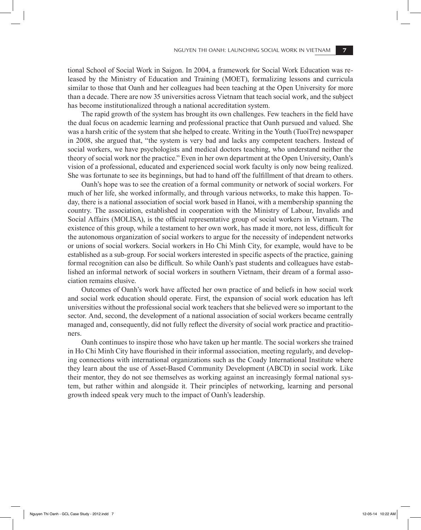tional School of Social Work in Saigon. In 2004, a framework for Social Work Education was released by the Ministry of Education and Training (MOET), formalizing lessons and curricula similar to those that Oanh and her colleagues had been teaching at the Open University for more than a decade. There are now 35 universities across Vietnam that teach social work, and the subject has become institutionalized through a national accreditation system.

The rapid growth of the system has brought its own challenges. Few teachers in the field have the dual focus on academic learning and professional practice that Oanh pursued and valued. She was a harsh critic of the system that she helped to create. Writing in the Youth (TuoiTre) newspaper in 2008, she argued that, "the system is very bad and lacks any competent teachers. Instead of social workers, we have psychologists and medical doctors teaching, who understand neither the theory of social work nor the practice." Even in her own department at the Open University, Oanh's vision of a professional, educated and experienced social work faculty is only now being realized. She was fortunate to see its beginnings, but had to hand off the fulfillment of that dream to others.

Oanh's hope was to see the creation of a formal community or network of social workers. For much of her life, she worked informally, and through various networks, to make this happen. Today, there is a national association of social work based in Hanoi, with a membership spanning the country. The association, established in cooperation with the Ministry of Labour, Invalids and Social Affairs (MOLISA), is the official representative group of social workers in Vietnam. The existence of this group, while a testament to her own work, has made it more, not less, difficult for the autonomous organization of social workers to argue for the necessity of independent networks or unions of social workers. Social workers in Ho Chi Minh City, for example, would have to be established as a sub-group. For social workers interested in specific aspects of the practice, gaining formal recognition can also be difficult. So while Oanh's past students and colleagues have established an informal network of social workers in southern Vietnam, their dream of a formal association remains elusive.

Outcomes of Oanh's work have affected her own practice of and beliefs in how social work and social work education should operate. First, the expansion of social work education has left universities without the professional social work teachers that she believed were so important to the sector. And, second, the development of a national association of social workers became centrally managed and, consequently, did not fully reflect the diversity of social work practice and practitioners.

Oanh continues to inspire those who have taken up her mantle. The social workers she trained in Ho Chi Minh City have flourished in their informal association, meeting regularly, and developing connections with international organizations such as the Coady International Institute where they learn about the use of Asset-Based Community Development (ABCD) in social work. Like their mentor, they do not see themselves as working against an increasingly formal national system, but rather within and alongside it. Their principles of networking, learning and personal growth indeed speak very much to the impact of Oanh's leadership.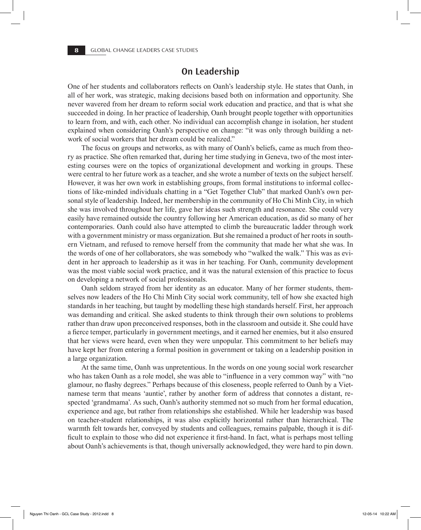#### **On Leadership**

One of her students and collaborators reflects on Oanh's leadership style. He states that Oanh, in all of her work, was strategic, making decisions based both on information and opportunity. She never wavered from her dream to reform social work education and practice, and that is what she succeeded in doing. In her practice of leadership, Oanh brought people together with opportunities to learn from, and with, each other. No individual can accomplish change in isolation, her student explained when considering Oanh's perspective on change: "it was only through building a network of social workers that her dream could be realized."

The focus on groups and networks, as with many of Oanh's beliefs, came as much from theory as practice. She often remarked that, during her time studying in Geneva, two of the most interesting courses were on the topics of organizational development and working in groups. These were central to her future work as a teacher, and she wrote a number of texts on the subject herself. However, it was her own work in establishing groups, from formal institutions to informal collections of like-minded individuals chatting in a "Get Together Club" that marked Oanh's own personal style of leadership. Indeed, her membership in the community of Ho Chi Minh City, in which she was involved throughout her life, gave her ideas such strength and resonance. She could very easily have remained outside the country following her American education, as did so many of her contemporaries. Oanh could also have attempted to climb the bureaucratic ladder through work with a government ministry or mass organization. But she remained a product of her roots in southern Vietnam, and refused to remove herself from the community that made her what she was. In the words of one of her collaborators, she was somebody who "walked the walk." This was as evident in her approach to leadership as it was in her teaching. For Oanh, community development was the most viable social work practice, and it was the natural extension of this practice to focus on developing a network of social professionals.

Oanh seldom strayed from her identity as an educator. Many of her former students, themselves now leaders of the Ho Chi Minh City social work community, tell of how she exacted high standards in her teaching, but taught by modelling these high standards herself. First, her approach was demanding and critical. She asked students to think through their own solutions to problems rather than draw upon preconceived responses, both in the classroom and outside it. She could have a fierce temper, particularly in government meetings, and it earned her enemies, but it also ensured that her views were heard, even when they were unpopular. This commitment to her beliefs may have kept her from entering a formal position in government or taking on a leadership position in a large organization.

At the same time, Oanh was unpretentious. In the words on one young social work researcher who has taken Oanh as a role model, she was able to "influence in a very common way" with "no glamour, no flashy degrees." Perhaps because of this closeness, people referred to Oanh by a Vietnamese term that means 'auntie', rather by another form of address that connotes a distant, respected 'grandmama'. As such, Oanh's authority stemmed not so much from her formal education, experience and age, but rather from relationships she established. While her leadership was based on teacher-student relationships, it was also explicitly horizontal rather than hierarchical. The warmth felt towards her, conveyed by students and colleagues, remains palpable, though it is difficult to explain to those who did not experience it first-hand. In fact, what is perhaps most telling about Oanh's achievements is that, though universally acknowledged, they were hard to pin down.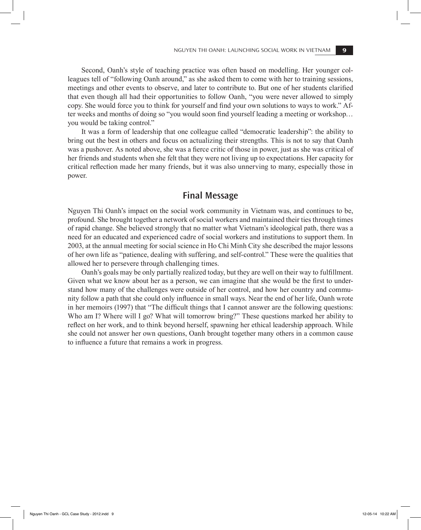Second, Oanh's style of teaching practice was often based on modelling. Her younger colleagues tell of "following Oanh around," as she asked them to come with her to training sessions, meetings and other events to observe, and later to contribute to. But one of her students clarified that even though all had their opportunities to follow Oanh, "you were never allowed to simply copy. She would force you to think for yourself and find your own solutions to ways to work." After weeks and months of doing so "you would soon find yourself leading a meeting or workshop… you would be taking control."

It was a form of leadership that one colleague called "democratic leadership": the ability to bring out the best in others and focus on actualizing their strengths. This is not to say that Oanh was a pushover. As noted above, she was a fierce critic of those in power, just as she was critical of her friends and students when she felt that they were not living up to expectations. Her capacity for critical reflection made her many friends, but it was also unnerving to many, especially those in power.

#### **Final Message**

Nguyen Thi Oanh's impact on the social work community in Vietnam was, and continues to be, profound. She brought together a network of social workers and maintained their ties through times of rapid change. She believed strongly that no matter what Vietnam's ideological path, there was a need for an educated and experienced cadre of social workers and institutions to support them. In 2003, at the annual meeting for social science in Ho Chi Minh City she described the major lessons of her own life as "patience, dealing with suffering, and self-control." These were the qualities that allowed her to persevere through challenging times.

Oanh's goals may be only partially realized today, but they are well on their way to fulfillment. Given what we know about her as a person, we can imagine that she would be the first to understand how many of the challenges were outside of her control, and how her country and community follow a path that she could only influence in small ways. Near the end of her life, Oanh wrote in her memoirs (1997) that "The difficult things that I cannot answer are the following questions: Who am I? Where will I go? What will tomorrow bring?" These questions marked her ability to reflect on her work, and to think beyond herself, spawning her ethical leadership approach. While she could not answer her own questions, Oanh brought together many others in a common cause to influence a future that remains a work in progress.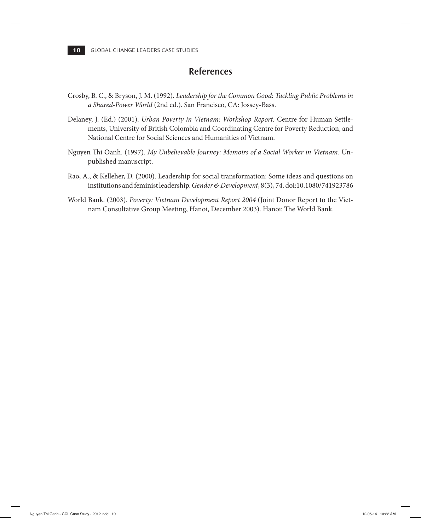#### **References**

- Crosby, B. C., & Bryson, J. M. (1992). *Leadership for the Common Good: Tackling Public Problems in a Shared-Power World* (2nd ed.). San Francisco, CA: Jossey-Bass.
- Delaney, J. (Ed.) (2001). *Urban Poverty in Vietnam: Workshop Report.* Centre for Human Settlements, University of British Colombia and Coordinating Centre for Poverty Reduction, and National Centre for Social Sciences and Humanities of Vietnam.
- Nguyen Thi Oanh. (1997). *My Unbelievable Journey: Memoirs of a Social Worker in Vietnam*. Unpublished manuscript.
- Rao, A., & Kelleher, D. (2000). Leadership for social transformation: Some ideas and questions on institutions and feminist leadership. *Gender & Development*, 8(3), 74. doi:10.1080/741923786
- World Bank. (2003). *Poverty: Vietnam Development Report 2004* (Joint Donor Report to the Vietnam Consultative Group Meeting, Hanoi, December 2003). Hanoi: The World Bank.